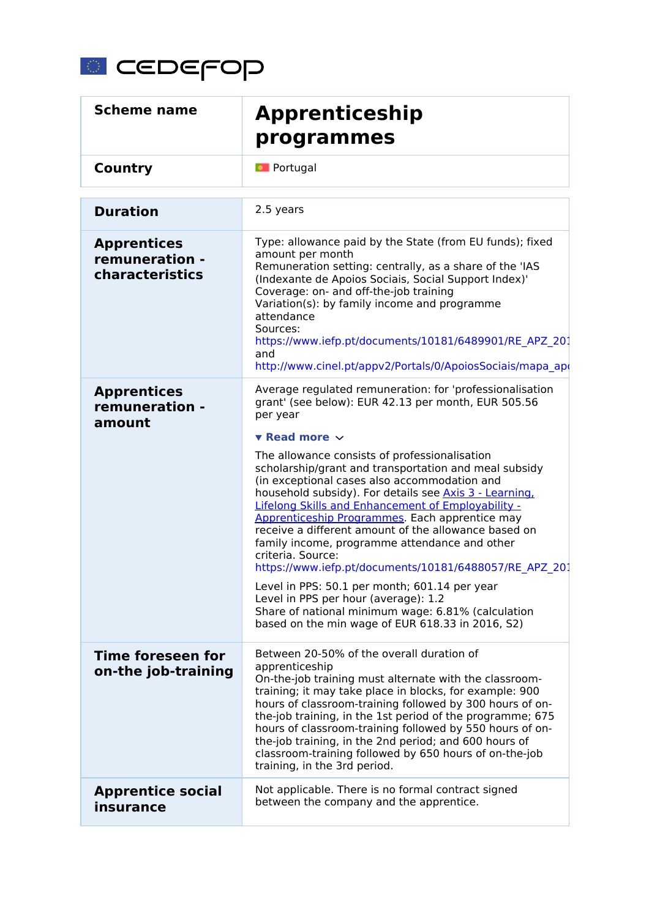

| <b>Scheme name</b>                                      | <b>Apprenticeship</b><br>programmes                                                                                                                                                                                                                                                                                                                                                                                                                                                                                                                                                                                                                                                                                                                                                                                                                                                                       |
|---------------------------------------------------------|-----------------------------------------------------------------------------------------------------------------------------------------------------------------------------------------------------------------------------------------------------------------------------------------------------------------------------------------------------------------------------------------------------------------------------------------------------------------------------------------------------------------------------------------------------------------------------------------------------------------------------------------------------------------------------------------------------------------------------------------------------------------------------------------------------------------------------------------------------------------------------------------------------------|
| Country                                                 | <b>D</b> Portugal                                                                                                                                                                                                                                                                                                                                                                                                                                                                                                                                                                                                                                                                                                                                                                                                                                                                                         |
| <b>Duration</b>                                         | 2.5 years                                                                                                                                                                                                                                                                                                                                                                                                                                                                                                                                                                                                                                                                                                                                                                                                                                                                                                 |
| <b>Apprentices</b><br>remuneration -<br>characteristics | Type: allowance paid by the State (from EU funds); fixed<br>amount per month<br>Remuneration setting: centrally, as a share of the 'IAS<br>(Indexante de Apoios Sociais, Social Support Index)'<br>Coverage: on- and off-the-job training<br>Variation(s): by family income and programme<br>attendance<br>Sources:<br>https://www.iefp.pt/documents/10181/6489901/RE APZ 201<br>and<br>http://www.cinel.pt/appv2/Portals/0/ApoiosSociais/mapa apo                                                                                                                                                                                                                                                                                                                                                                                                                                                        |
| <b>Apprentices</b><br>remuneration -<br>amount          | Average regulated remuneration: for 'professionalisation<br>grant' (see below): EUR 42.13 per month, EUR 505.56<br>per year<br>$\blacktriangledown$ Read more $\blacktriangledown$<br>The allowance consists of professionalisation<br>scholarship/grant and transportation and meal subsidy<br>(in exceptional cases also accommodation and<br>household subsidy). For details see Axis 3 - Learning,<br>Lifelong Skills and Enhancement of Employability -<br>Apprenticeship Programmes. Each apprentice may<br>receive a different amount of the allowance based on<br>family income, programme attendance and other<br>criteria. Source:<br>https://www.iefp.pt/documents/10181/6488057/RE APZ 201<br>Level in PPS: 50.1 per month; 601.14 per year<br>Level in PPS per hour (average): 1.2<br>Share of national minimum wage: 6.81% (calculation<br>based on the min wage of EUR 618.33 in 2016, S2) |
| <b>Time foreseen for</b><br>on-the job-training         | Between 20-50% of the overall duration of<br>apprenticeship<br>On-the-job training must alternate with the classroom-<br>training; it may take place in blocks, for example: 900<br>hours of classroom-training followed by 300 hours of on-<br>the-job training, in the 1st period of the programme; 675<br>hours of classroom-training followed by 550 hours of on-<br>the-job training, in the 2nd period; and 600 hours of<br>classroom-training followed by 650 hours of on-the-job<br>training, in the 3rd period.                                                                                                                                                                                                                                                                                                                                                                                  |
| <b>Apprentice social</b><br>insurance                   | Not applicable. There is no formal contract signed<br>between the company and the apprentice.                                                                                                                                                                                                                                                                                                                                                                                                                                                                                                                                                                                                                                                                                                                                                                                                             |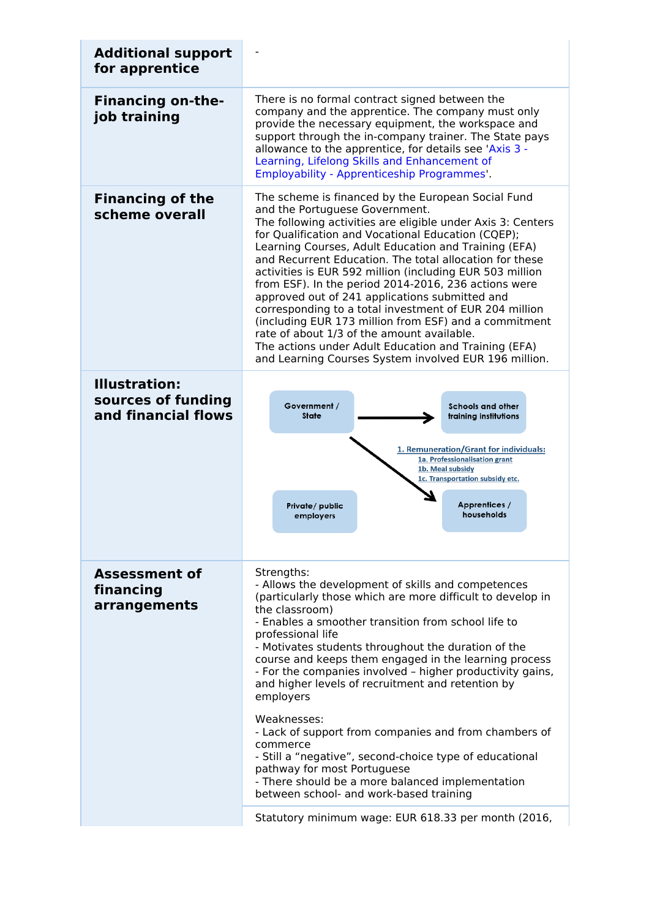| <b>Additional support</b><br>for apprentice                       |                                                                                                                                                                                                                                                                                                                                                                                                                                                                                                                                                                                                                                                                                                                                                                                                                 |  |
|-------------------------------------------------------------------|-----------------------------------------------------------------------------------------------------------------------------------------------------------------------------------------------------------------------------------------------------------------------------------------------------------------------------------------------------------------------------------------------------------------------------------------------------------------------------------------------------------------------------------------------------------------------------------------------------------------------------------------------------------------------------------------------------------------------------------------------------------------------------------------------------------------|--|
| <b>Financing on-the-</b><br>job training                          | There is no formal contract signed between the<br>company and the apprentice. The company must only<br>provide the necessary equipment, the workspace and<br>support through the in-company trainer. The State pays<br>allowance to the apprentice, for details see 'Axis 3 -<br>Learning, Lifelong Skills and Enhancement of<br>Employability - Apprenticeship Programmes'.                                                                                                                                                                                                                                                                                                                                                                                                                                    |  |
| <b>Financing of the</b><br>scheme overall                         | The scheme is financed by the European Social Fund<br>and the Portuguese Government.<br>The following activities are eligible under Axis 3: Centers<br>for Qualification and Vocational Education (CQEP);<br>Learning Courses, Adult Education and Training (EFA)<br>and Recurrent Education. The total allocation for these<br>activities is EUR 592 million (including EUR 503 million<br>from ESF). In the period 2014-2016, 236 actions were<br>approved out of 241 applications submitted and<br>corresponding to a total investment of EUR 204 million<br>(including EUR 173 million from ESF) and a commitment<br>rate of about 1/3 of the amount available.<br>The actions under Adult Education and Training (EFA)<br>and Learning Courses System involved EUR 196 million.                            |  |
| <b>Illustration:</b><br>sources of funding<br>and financial flows | Government /<br><b>Schools and other</b><br><b>State</b><br>training institutions<br>1. Remuneration/Grant for individuals:<br>1a. Professionalisation grant<br>1b. Meal subsidy<br>1c. Transportation subsidy etc.<br>Apprentices /<br>Private/public<br>households<br>employers                                                                                                                                                                                                                                                                                                                                                                                                                                                                                                                               |  |
| <b>Assessment of</b><br>financing<br>arrangements                 | Strengths:<br>- Allows the development of skills and competences<br>(particularly those which are more difficult to develop in<br>the classroom)<br>- Enables a smoother transition from school life to<br>professional life<br>- Motivates students throughout the duration of the<br>course and keeps them engaged in the learning process<br>- For the companies involved - higher productivity gains,<br>and higher levels of recruitment and retention by<br>employers<br>Weaknesses:<br>- Lack of support from companies and from chambers of<br>commerce<br>- Still a "negative", second-choice type of educational<br>pathway for most Portuguese<br>- There should be a more balanced implementation<br>between school- and work-based training<br>Statutory minimum wage: EUR 618.33 per month (2016, |  |